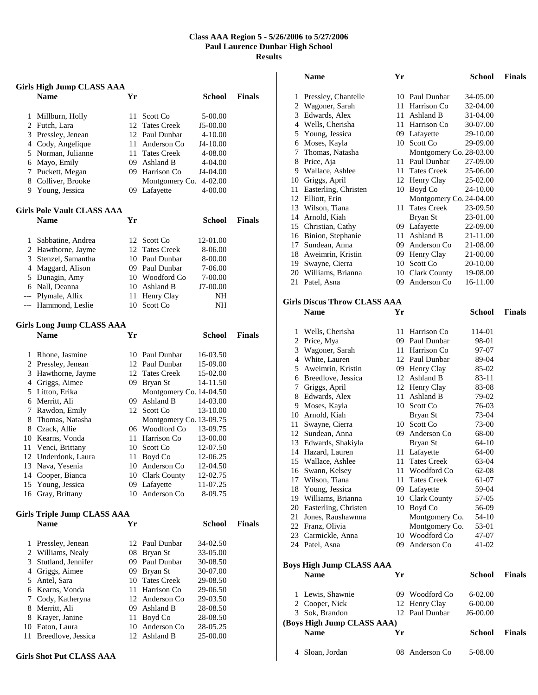## **Class AAA Region 5 - 5/26/2006 to 5/27/2006 Paul Laurence Dunbar High School Results**

|       | Girls High Jump CLASS AAA          |     |                         |               |               |
|-------|------------------------------------|-----|-------------------------|---------------|---------------|
|       | <b>Name</b>                        | Yr  |                         | <b>School</b> | <b>Finals</b> |
| 1     | Millburn, Holly                    | 11  | Scott Co                | 5-00.00       |               |
| 2     | Futch, Lara                        | 12  | <b>Tates Creek</b>      | J5-00.00      |               |
| 3     | Pressley, Jenean                   |     | 12 Paul Dunbar          | $4 - 10.00$   |               |
|       | 4 Cody, Angelique                  |     | 11 Anderson Co          | J4-10.00      |               |
| 5     | Norman, Julianne                   |     | 11 Tates Creek          | 4-08.00       |               |
| 6     | Mayo, Emily                        |     | 09 Ashland B            | 4-04.00       |               |
| 7     | Puckett, Megan                     |     | 09 Harrison Co          | J4-04.00      |               |
| 8     | Colliver, Brooke                   |     | Montgomery Co.          | 4-02.00       |               |
|       | 9 Young, Jessica                   | 09. | Lafayette               | 4-00.00       |               |
|       | <b>Girls Pole Vault CLASS AAA</b>  |     |                         |               |               |
|       | <b>Name</b>                        | Yr  |                         | School        | <b>Finals</b> |
| 1     | Sabbatine, Andrea                  |     | 12 Scott Co             | 12-01.00      |               |
|       | 2 Hawthorne, Jayme                 |     | 12 Tates Creek          | 8-06.00       |               |
| 3     | Stenzel, Samantha                  |     | 10 Paul Dunbar          | 8-00.00       |               |
| 4     | Maggard, Alison                    |     | 09 Paul Dunbar          | 7-06.00       |               |
| 5     | Dunagin, Amy                       |     | 10 Woodford Co.         | 7-00.00       |               |
|       | 6 Nall, Deanna                     |     | 10 Ashland B            | J7-00.00      |               |
| $---$ | Plymale, Allix                     | 11- | Henry Clay              | NH            |               |
| ---   | Hammond, Leslie                    | 10  | Scott Co                | NΗ            |               |
|       | Girls Long Jump CLASS AAA          |     |                         |               |               |
|       | <b>Name</b>                        | Yr  |                         | School        | <b>Finals</b> |
| 1     | Rhone, Jasmine                     |     | 10 Paul Dunbar          | 16-03.50      |               |
|       | 2 Pressley, Jenean                 |     | 12 Paul Dunbar          | 15-09.00      |               |
| 3     | Hawthorne, Jayme                   |     | 12 Tates Creek          | 15-02.00      |               |
|       | 4 Griggs, Aimee                    |     | 09 Bryan St             | 14-11.50      |               |
|       | 5 Litton, Erika                    |     | Montgomery Co. 14-04.50 |               |               |
| 6     | Merritt, Ali                       | 09- | Ashland B               | 14-03.00      |               |
| 7     | Rawdon, Emily                      | 12  | Scott Co                | 13-10.00      |               |
| 8     | Thomas, Natasha                    |     | Montgomery Co. 13-09.75 |               |               |
|       | 8 Czack, Allie                     |     | 06 Woodford Co          | 13-09.75      |               |
|       | 10 Kearns, Vonda                   |     | 11 Harrison Co          | 13-00.00      |               |
| 11    | Venci, Brittany                    | 10  | Scott Co                | 12-07.50      |               |
|       | 12 Underdonk, Laura                | 11  | Boyd Co                 | 12-06.25      |               |
| 13    | Nava, Yesenia                      | 10  | Anderson Co             | 12-04.50      |               |
| 14    | Cooper, Bianca                     |     | 10 Clark County         | 12-02.75      |               |
| 15    | Young, Jessica                     | 09  | Lafayette               | 11-07.25      |               |
| 16    | Gray, Brittany                     | 10  | Anderson Co             | 8-09.75       |               |
|       | <b>Girls Triple Jump CLASS AAA</b> |     |                         |               |               |
|       | <b>Name</b>                        | Yr  |                         | <b>School</b> | <b>Finals</b> |
| 1     | Pressley, Jenean                   | 12  | Paul Dunbar             | 34-02.50      |               |
| 2     | Williams, Nealy                    | 08  | Bryan St                | 33-05.00      |               |
| 3     | Stutland, Jennifer                 | 09  | Paul Dunbar             | 30-08.50      |               |
| 4     | Griggs, Aimee                      | 09  | Bryan St                | 30-07.00      |               |
| 5     | Antel, Sara                        | 10  | <b>Tates Creek</b>      | 29-08.50      |               |
| 6     | Kearns, Vonda                      | 11  | Harrison Co             | 29-06.50      |               |
| 7     | Cody, Katheryna                    |     | 12 Anderson Co          | 29-03.50      |               |
| 8     | Merritt, Ali                       |     | 09 Ashland B            | 28-08.50      |               |
| 8     | Krayer, Janine                     | 11  | Boyd Co                 | 28-08.50      |               |
| 10    | Eaton, Laura                       | 10  | Anderson Co             | 28-05.25      |               |
| 11    | Breedlove, Jessica                 | 12  | Ashland B               | 25-00.00      |               |
|       |                                    |     |                         |               |               |

**Girls Shot Put CLASS AAA** 

|                            | <b>Name</b>                             | Yr       |                             | <b>School</b>        | <b>Finals</b> |
|----------------------------|-----------------------------------------|----------|-----------------------------|----------------------|---------------|
| 1                          | Pressley, Chantelle                     | 10       | Paul Dunbar                 | 34-05.00             |               |
| 2                          | Wagoner, Sarah                          | 11       | Harrison Co                 | 32-04.00             |               |
| 3                          | Edwards, Alex                           | 11       | Ashland B                   | 31-04.00             |               |
|                            | 4 Wells, Cherisha                       | 11       | Harrison Co                 | 30-07.00             |               |
|                            | 5 Young, Jessica                        |          | 09 Lafayette                | 29-10.00             |               |
| 6                          | Moses, Kayla                            |          | 10 Scott Co                 | 29-09.00             |               |
| 7                          | Thomas, Natasha                         |          | Montgomery Co. 28-03.00     |                      |               |
| 8                          | Price, Aja                              | 11       | Paul Dunbar                 | 27-09.00             |               |
|                            | 9 Wallace, Ashlee                       | 11       | <b>Tates Creek</b>          | 25-06.00             |               |
|                            | 10 Griggs, April                        |          | 12 Henry Clay               | 25-02.00             |               |
| 11                         | Easterling, Christen                    |          | 10 Boyd Co                  | 24-10.00             |               |
|                            | 12 Elliott, Erin                        |          | Montgomery Co. 24-04.00     |                      |               |
|                            | 13 Wilson, Tiana                        | 11       | <b>Tates Creek</b>          | 23-09.50             |               |
|                            | 14 Arnold, Kiah                         |          | Bryan St                    | 23-01.00             |               |
|                            | 15 Christian, Cathy                     | 09       | Lafayette                   | 22-09.00             |               |
| 17                         | 16 Binion, Stephanie<br>Sundean, Anna   | 11       | Ashland B<br>09 Anderson Co | 21-11.00<br>21-08.00 |               |
| 18                         | Aweimrin, Kristin                       |          | 09 Henry Clay               | 21-00.00             |               |
|                            | 19 Swayne, Cierra                       |          | 10 Scott Co                 | 20-10.00             |               |
|                            | 20 Williams, Brianna                    |          | 10 Clark County             | 19-08.00             |               |
| 21                         | Patel, Asna                             | 09       | Anderson Co                 | 16-11.00             |               |
|                            |                                         |          |                             |                      |               |
|                            | <b>Girls Discus Throw CLASS AAA</b>     |          |                             |                      |               |
|                            | <b>Name</b>                             | Yr       |                             | School               | <b>Finals</b> |
|                            |                                         |          |                             |                      |               |
| 1                          | Wells, Cherisha                         | 11       | Harrison Co                 | 114-01               |               |
| 2                          | Price, Mya                              | 09       | Paul Dunbar                 | 98-01                |               |
| 3                          | Wagoner, Sarah                          |          | 11 Harrison Co              | 97-07                |               |
| 4                          | White, Lauren                           |          | 12 Paul Dunbar              | 89-04                |               |
| 5                          | Aweimrin, Kristin                       |          | 09 Henry Clay               | 85-02                |               |
|                            | 6 Breedlove, Jessica                    | 12       | Ashland B                   | 83-11                |               |
| 7                          | Griggs, April                           |          | 12 Henry Clay               | 83-08                |               |
| 8<br>9                     | Edwards, Alex                           | 11<br>10 | Ashland B<br>Scott Co.      | 79-02                |               |
|                            | Moses, Kayla<br>10 Arnold, Kiah         |          | Bryan St                    | 76-03<br>73-04       |               |
| 11                         | Swayne, Cierra                          |          | 10 Scott Co                 | 73-00                |               |
|                            | 12 Sundean, Anna                        |          | 09 Anderson Co              | 68-00                |               |
|                            | 13 Edwards, Shakiyla                    |          | Bryan St                    | 64-10                |               |
|                            | 14 Hazard, Lauren                       | 11       | Lafayette                   | 64-00                |               |
| 15                         | Wallace, Ashlee                         | 11       | <b>Tates Creek</b>          | 63-04                |               |
|                            | 16 Swann, Kelsey                        | 11       | Woodford Co                 | 62-08                |               |
| 17                         | Wilson, Tiana                           | 11       | <b>Tates Creek</b>          | 61-07                |               |
| 18                         | Young, Jessica                          |          | 09 Lafayette                | 59-04                |               |
|                            | 19 Williams, Brianna                    |          | 10 Clark County             | 57-05                |               |
|                            | 20 Easterling, Christen                 |          | 10 Boyd Co                  | 56-09                |               |
| 21                         | Jones, Raushawnna                       |          | Montgomery Co.              | 54-10                |               |
|                            | 22 Franz, Olivia                        |          | Montgomery Co.              | 53-01                |               |
|                            | 23 Carmickle, Anna                      | 10       | Woodford Co                 | 47-07                |               |
|                            | 24 Patel, Asna                          |          | 09 Anderson Co              | $41 - 02$            |               |
|                            |                                         |          |                             |                      |               |
|                            | Boys High Jump CLASS AAA<br><b>Name</b> | Yr       |                             | <b>School</b>        | <b>Finals</b> |
|                            |                                         |          |                             |                      |               |
| 1                          | Lewis, Shawnie                          |          | 09 Woodford Co              | 6-02.00              |               |
|                            | 2 Cooper, Nick                          |          | 12 Henry Clay               | $6 - 00.00$          |               |
|                            | 3 Sok, Brandon                          |          | 12 Paul Dunbar              | J6-00.00             |               |
| (Boys High Jump CLASS AAA) |                                         |          |                             |                      |               |
|                            | <b>Name</b>                             | Yr       |                             | <b>School</b>        | <b>Finals</b> |
|                            | 4 Sloan, Jordan                         | 08       | Anderson Co                 | 5-08.00              |               |
|                            |                                         |          |                             |                      |               |